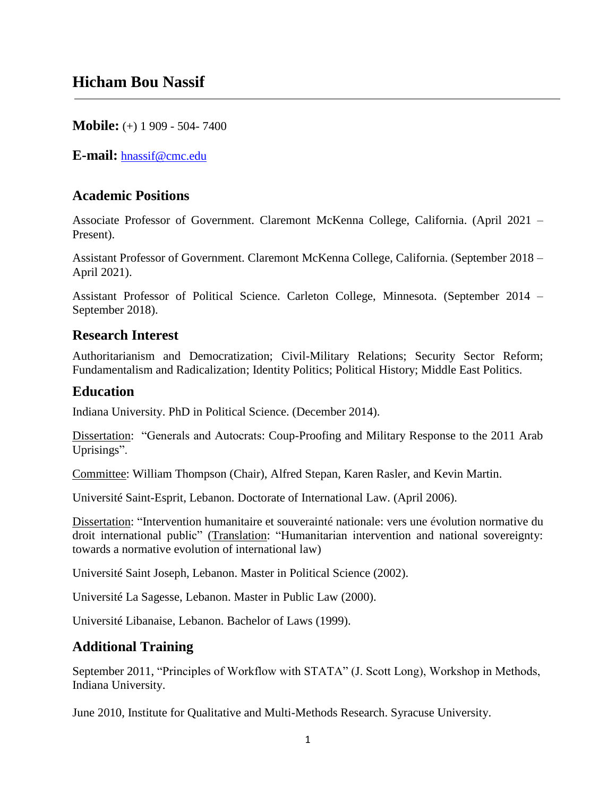**Mobile:** (+) 1 909 - 504- 7400

**E-mail:** [hnassif@cmc.edu](mailto:hnassif@carleton.edu)

# **Academic Positions**

Associate Professor of Government. Claremont McKenna College, California. (April 2021 – Present).

Assistant Professor of Government. Claremont McKenna College, California. (September 2018 – April 2021).

Assistant Professor of Political Science. Carleton College, Minnesota. (September 2014 – September 2018).

# **Research Interest**

Authoritarianism and Democratization; Civil-Military Relations; Security Sector Reform; Fundamentalism and Radicalization; Identity Politics; Political History; Middle East Politics.

# **Education**

Indiana University. PhD in Political Science. (December 2014).

Dissertation: "Generals and Autocrats: Coup-Proofing and Military Response to the 2011 Arab Uprisings".

Committee: William Thompson (Chair), Alfred Stepan, Karen Rasler, and Kevin Martin.

Université Saint-Esprit, Lebanon. Doctorate of International Law. (April 2006).

Dissertation: "Intervention humanitaire et souverainté nationale: vers une évolution normative du droit international public" (Translation: "Humanitarian intervention and national sovereignty: towards a normative evolution of international law)

Université Saint Joseph, Lebanon. Master in Political Science (2002).

Université La Sagesse, Lebanon. Master in Public Law (2000).

Université Libanaise, Lebanon. Bachelor of Laws (1999).

# **Additional Training**

September 2011, "Principles of Workflow with STATA" (J. Scott Long), Workshop in Methods, Indiana University.

June 2010, Institute for Qualitative and Multi-Methods Research. Syracuse University.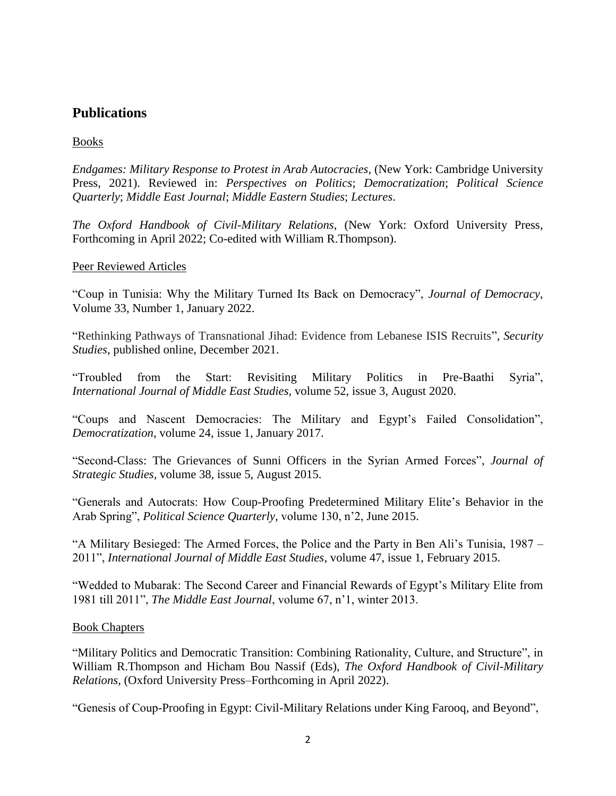# **Publications**

### Books

*Endgames: Military Response to Protest in Arab Autocracies,* (New York: Cambridge University Press, 2021). Reviewed in: *Perspectives on Politics*; *Democratization*; *Political Science Quarterly*; *Middle East Journal*; *Middle Eastern Studies*; *Lectures*.

*The Oxford Handbook of Civil-Military Relations*, (New York: Oxford University Press, Forthcoming in April 2022; Co-edited with William R.Thompson).

### Peer Reviewed Articles

"Coup in Tunisia: Why the Military Turned Its Back on Democracy", *Journal of Democracy*, Volume 33, Number 1, January 2022.

"Rethinking Pathways of Transnational Jihad: Evidence from Lebanese ISIS Recruits", *Security Studies*, published online, December 2021.

"Troubled from the Start: Revisiting Military Politics in Pre-Baathi Syria", *International Journal of Middle East Studies,* volume 52, issue 3, August 2020.

"Coups and Nascent Democracies: The Military and Egypt's Failed Consolidation", *Democratization*, volume 24, issue 1, January 2017.

"Second-Class: The Grievances of Sunni Officers in the Syrian Armed Forces", *Journal of Strategic Studies,* volume 38, issue 5, August 2015.

"Generals and Autocrats: How Coup-Proofing Predetermined Military Elite's Behavior in the Arab Spring", *Political Science Quarterly,* volume 130, n'2, June 2015.

"A Military Besieged: The Armed Forces, the Police and the Party in Ben Ali's Tunisia, 1987 – 2011", *International Journal of Middle East Studies*, volume 47, issue 1, February 2015.

"Wedded to Mubarak: The Second Career and Financial Rewards of Egypt's Military Elite from 1981 till 2011", *The Middle East Journal*, volume 67, n'1, winter 2013.

### Book Chapters

"Military Politics and Democratic Transition: Combining Rationality, Culture, and Structure", in William R.Thompson and Hicham Bou Nassif (Eds), *The Oxford Handbook of Civil-Military Relations*, (Oxford University Press–Forthcoming in April 2022).

"Genesis of Coup-Proofing in Egypt: Civil-Military Relations under King Farooq, and Beyond",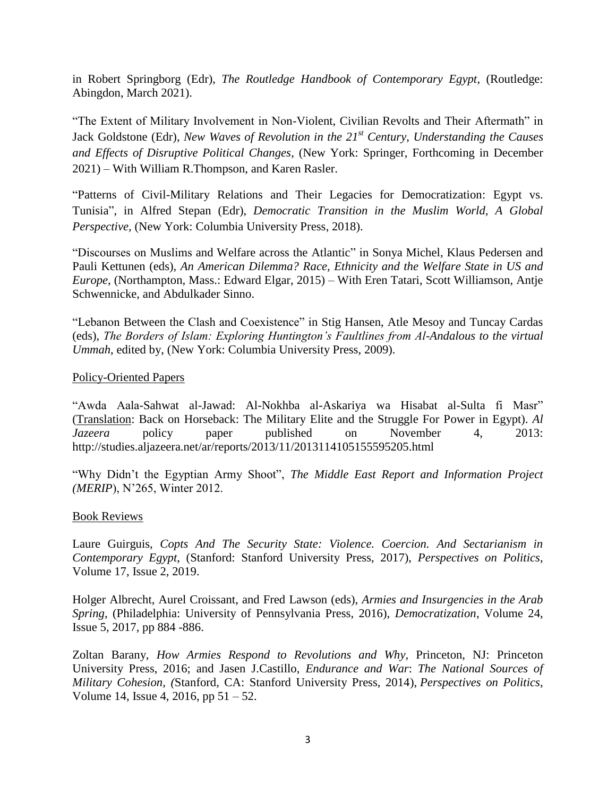in Robert Springborg (Edr), *The Routledge Handbook of Contemporary Egypt*, (Routledge: Abingdon, March 2021).

"The Extent of Military Involvement in Non-Violent, Civilian Revolts and Their Aftermath" in Jack Goldstone (Edr), *New Waves of Revolution in the 21st Century*, *Understanding the Causes and Effects of Disruptive Political Changes*, (New York: Springer, Forthcoming in December 2021) – With William R.Thompson, and Karen Rasler.

"Patterns of Civil-Military Relations and Their Legacies for Democratization: Egypt vs. Tunisia", in Alfred Stepan (Edr), *Democratic Transition in the Muslim World, A Global Perspective,* (New York: Columbia University Press, 2018).

"Discourses on Muslims and Welfare across the Atlantic" in Sonya Michel, Klaus Pedersen and Pauli Kettunen (eds), *An American Dilemma? Race, Ethnicity and the Welfare State in US and Europe*, (Northampton, Mass.: Edward Elgar, 2015) – With Eren Tatari, Scott Williamson, Antje Schwennicke, and Abdulkader Sinno.

"Lebanon Between the Clash and Coexistence" in Stig Hansen, Atle Mesoy and Tuncay Cardas (eds), *The Borders of Islam: Exploring Huntington's Faultlines from Al-Andalous to the virtual Ummah*, edited by, (New York: Columbia University Press, 2009).

### Policy-Oriented Papers

"Awda Aala-Sahwat al-Jawad: Al-Nokhba al-Askariya wa Hisabat al-Sulta fi Masr" (Translation: Back on Horseback: The Military Elite and the Struggle For Power in Egypt). *Al Jazeera* policy paper published on November 4, 2013: http://studies.aljazeera.net/ar/reports/2013/11/2013114105155595205.html

"Why Didn't the Egyptian Army Shoot", *The Middle East Report and Information Project (MERIP*), N'265, Winter 2012.

### Book Reviews

Laure Guirguis, *Copts And The Security State: Violence. Coercion. And Sectarianism in Contemporary Egypt*, (Stanford: Stanford University Press, 2017), *Perspectives on Politics*, Volume 17, Issue 2, 2019.

Holger Albrecht, Aurel Croissant, and Fred Lawson (eds), *Armies and Insurgencies in the Arab Spring*, (Philadelphia: University of Pennsylvania Press, 2016), *Democratization*, Volume 24, Issue 5, 2017, pp 884 -886.

Zoltan Barany, *How Armies Respond to Revolutions and Why,* Princeton, NJ: Princeton University Press, 2016; and Jasen J.Castillo, *Endurance and War*: *The National Sources of Military Cohesion, (*Stanford, CA: Stanford University Press, 2014), *Perspectives on Politics*, Volume 14, Issue 4, 2016, pp 51 – 52.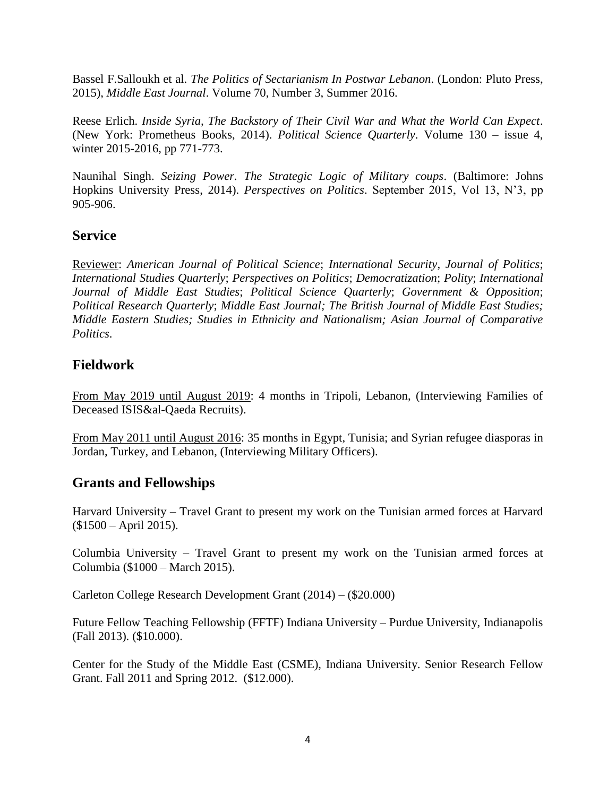Bassel F.Salloukh et al. *The Politics of Sectarianism In Postwar Lebanon*. (London: Pluto Press, 2015), *Middle East Journal*. Volume 70, Number 3, Summer 2016.

Reese Erlich. *Inside Syria, The Backstory of Their Civil War and What the World Can Expect*. (New York: Prometheus Books, 2014). *Political Science Quarterly*. Volume 130 – issue 4, winter 2015-2016, pp 771-773.

Naunihal Singh. *Seizing Power. The Strategic Logic of Military coups*. (Baltimore: Johns Hopkins University Press, 2014). *Perspectives on Politics*. September 2015, Vol 13, N'3, pp 905-906.

### **Service**

Reviewer: *American Journal of Political Science*; *International Security*, *Journal of Politics*; *International Studies Quarterly*; *Perspectives on Politics*; *Democratization*; *Polity*; *International Journal of Middle East Studies*; *Political Science Quarterly*; *Government & Opposition*; *Political Research Quarterly*; *Middle East Journal; The British Journal of Middle East Studies; Middle Eastern Studies; Studies in Ethnicity and Nationalism; Asian Journal of Comparative Politics*.

### **Fieldwork**

From May 2019 until August 2019: 4 months in Tripoli, Lebanon, (Interviewing Families of Deceased ISIS&al-Qaeda Recruits).

From May 2011 until August 2016: 35 months in Egypt, Tunisia; and Syrian refugee diasporas in Jordan, Turkey, and Lebanon, (Interviewing Military Officers).

# **Grants and Fellowships**

Harvard University – Travel Grant to present my work on the Tunisian armed forces at Harvard (\$1500 – April 2015).

Columbia University – Travel Grant to present my work on the Tunisian armed forces at Columbia (\$1000 – March 2015).

Carleton College Research Development Grant (2014) – (\$20.000)

Future Fellow Teaching Fellowship (FFTF) Indiana University – Purdue University, Indianapolis (Fall 2013). (\$10.000).

Center for the Study of the Middle East (CSME), Indiana University. Senior Research Fellow Grant. Fall 2011 and Spring 2012. (\$12.000).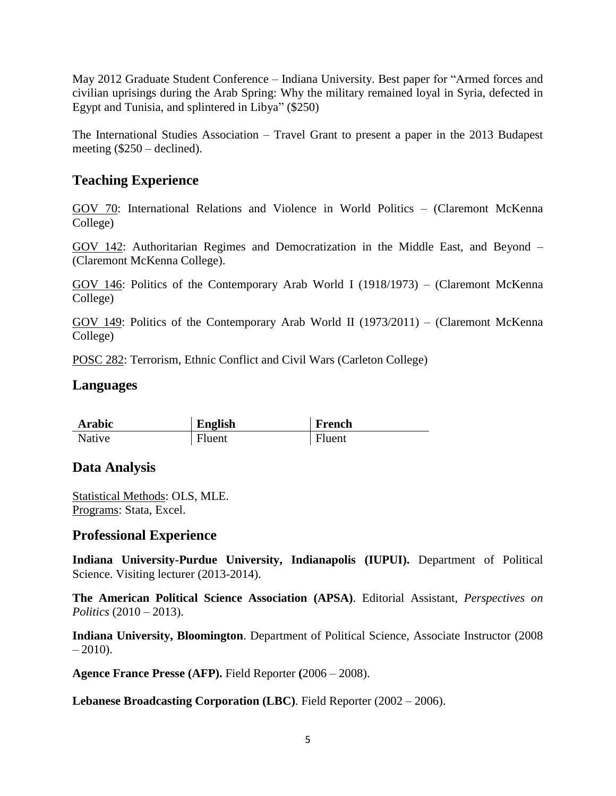May 2012 Graduate Student Conference – Indiana University. Best paper for "Armed forces and civilian uprisings during the Arab Spring: Why the military remained loyal in Syria, defected in Egypt and Tunisia, and splintered in Libya" (\$250)

The International Studies Association – Travel Grant to present a paper in the 2013 Budapest meeting (\$250 – declined).

# **Teaching Experience**

GOV 70: International Relations and Violence in World Politics – (Claremont McKenna College)

GOV 142: Authoritarian Regimes and Democratization in the Middle East, and Beyond – (Claremont McKenna College).

GOV 146: Politics of the Contemporary Arab World I (1918/1973) – (Claremont McKenna College)

GOV 149: Politics of the Contemporary Arab World II (1973/2011) – (Claremont McKenna College)

POSC 282: Terrorism, Ethnic Conflict and Civil Wars (Carleton College)

### **Languages**

| <b>Arabic</b> | English | French |
|---------------|---------|--------|
| Native        | Fluent  | Fluent |

# **Data Analysis**

Statistical Methods: OLS, MLE. Programs: Stata, Excel.

# **Professional Experience**

**Indiana University-Purdue University, Indianapolis (IUPUI).** Department of Political Science. Visiting lecturer (2013-2014).

**The American Political Science Association (APSA)**. Editorial Assistant, *Perspectives on Politics* (2010 – 2013).

**Indiana University, Bloomington**. Department of Political Science, Associate Instructor (2008  $-2010$ ).

**Agence France Presse (AFP).** Field Reporter **(**2006 – 2008).

**Lebanese Broadcasting Corporation (LBC)**. Field Reporter (2002 – 2006).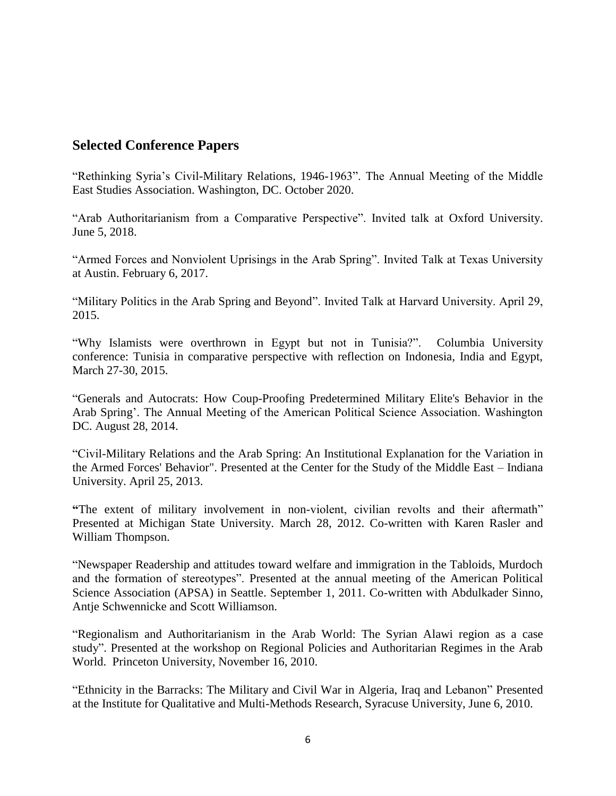# **Selected Conference Papers**

"Rethinking Syria's Civil-Military Relations, 1946-1963". The Annual Meeting of the Middle East Studies Association. Washington, DC. October 2020.

"Arab Authoritarianism from a Comparative Perspective". Invited talk at Oxford University. June 5, 2018.

"Armed Forces and Nonviolent Uprisings in the Arab Spring". Invited Talk at Texas University at Austin. February 6, 2017.

"Military Politics in the Arab Spring and Beyond". Invited Talk at Harvard University. April 29, 2015.

"Why Islamists were overthrown in Egypt but not in Tunisia?". Columbia University conference: Tunisia in comparative perspective with reflection on Indonesia, India and Egypt, March 27-30, 2015.

"Generals and Autocrats: How Coup-Proofing Predetermined Military Elite's Behavior in the Arab Spring'. The Annual Meeting of the American Political Science Association. Washington DC. August 28, 2014.

"Civil-Military Relations and the Arab Spring: An Institutional Explanation for the Variation in the Armed Forces' Behavior". Presented at the Center for the Study of the Middle East – Indiana University. April 25, 2013.

**"**The extent of military involvement in non-violent, civilian revolts and their aftermath" Presented at Michigan State University. March 28, 2012. Co-written with Karen Rasler and William Thompson.

"Newspaper Readership and attitudes toward welfare and immigration in the Tabloids, Murdoch and the formation of stereotypes". Presented at the annual meeting of the American Political Science Association (APSA) in Seattle. September 1, 2011. Co-written with Abdulkader Sinno, Antje Schwennicke and Scott Williamson.

"Regionalism and Authoritarianism in the Arab World: The Syrian Alawi region as a case study". Presented at the workshop on Regional Policies and Authoritarian Regimes in the Arab World. Princeton University, November 16, 2010.

"Ethnicity in the Barracks: The Military and Civil War in Algeria, Iraq and Lebanon" Presented at the Institute for Qualitative and Multi-Methods Research, Syracuse University, June 6, 2010.